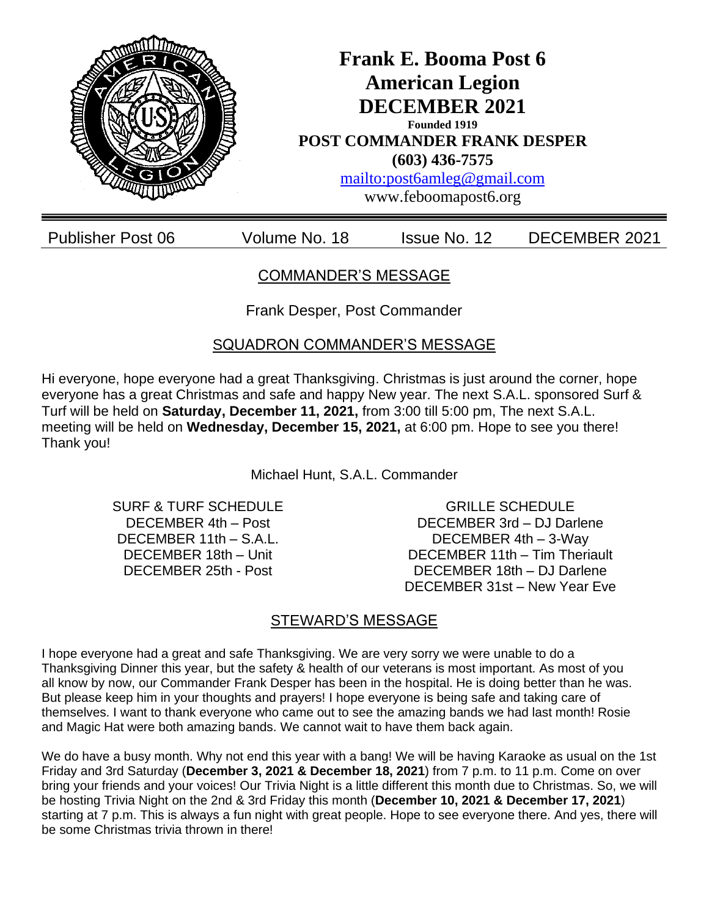

COMMANDER'S MESSAGE

Frank Desper, Post Commander

SQUADRON COMMANDER'S MESSAGE

Hi everyone, hope everyone had a great Thanksgiving. Christmas is just around the corner, hope everyone has a great Christmas and safe and happy New year. The next S.A.L. sponsored Surf & Turf will be held on **Saturday, December 11, 2021,** from 3:00 till 5:00 pm, The next S.A.L. meeting will be held on **Wednesday, December 15, 2021,** at 6:00 pm. Hope to see you there! Thank you!

Michael Hunt, S.A.L. Commander

SURF & TURF SCHEDULE DECEMBER 4th – Post DECEMBER 11th – S.A.L. DECEMBER 18th – Unit DECEMBER 25th - Post

GRILLE SCHEDULE DECEMBER 3rd – DJ Darlene DECEMBER 4th – 3-Way DECEMBER 11th – Tim Theriault DECEMBER 18th – DJ Darlene DECEMBER 31st – New Year Eve

## STEWARD'S MESSAGE

I hope everyone had a great and safe Thanksgiving. We are very sorry we were unable to do a Thanksgiving Dinner this year, but the safety & health of our veterans is most important. As most of you all know by now, our Commander Frank Desper has been in the hospital. He is doing better than he was. But please keep him in your thoughts and prayers! I hope everyone is being safe and taking care of themselves. I want to thank everyone who came out to see the amazing bands we had last month! Rosie and Magic Hat were both amazing bands. We cannot wait to have them back again.

We do have a busy month. Why not end this year with a bang! We will be having Karaoke as usual on the 1st Friday and 3rd Saturday (**December 3, 2021 & December 18, 2021**) from 7 p.m. to 11 p.m. Come on over bring your friends and your voices! Our Trivia Night is a little different this month due to Christmas. So, we will be hosting Trivia Night on the 2nd & 3rd Friday this month (**December 10, 2021 & December 17, 2021**) starting at 7 p.m. This is always a fun night with great people. Hope to see everyone there. And yes, there will be some Christmas trivia thrown in there!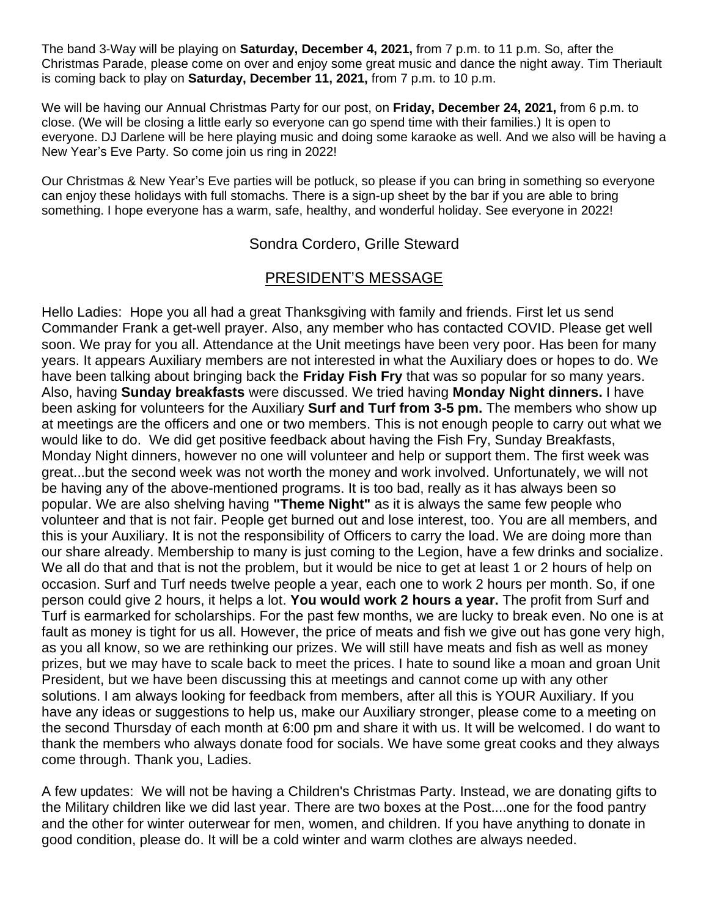The band 3-Way will be playing on **Saturday, December 4, 2021,** from 7 p.m. to 11 p.m. So, after the Christmas Parade, please come on over and enjoy some great music and dance the night away. Tim Theriault is coming back to play on **Saturday, December 11, 2021,** from 7 p.m. to 10 p.m.

We will be having our Annual Christmas Party for our post, on **Friday, December 24, 2021,** from 6 p.m. to close. (We will be closing a little early so everyone can go spend time with their families.) It is open to everyone. DJ Darlene will be here playing music and doing some karaoke as well. And we also will be having a New Year's Eve Party. So come join us ring in 2022!

Our Christmas & New Year's Eve parties will be potluck, so please if you can bring in something so everyone can enjoy these holidays with full stomachs. There is a sign-up sheet by the bar if you are able to bring something. I hope everyone has a warm, safe, healthy, and wonderful holiday. See everyone in 2022!

Sondra Cordero, Grille Steward

## PRESIDENT'S MESSAGE

Hello Ladies: Hope you all had a great Thanksgiving with family and friends. First let us send Commander Frank a get-well prayer. Also, any member who has contacted COVID. Please get well soon. We pray for you all. Attendance at the Unit meetings have been very poor. Has been for many years. It appears Auxiliary members are not interested in what the Auxiliary does or hopes to do. We have been talking about bringing back the **Friday Fish Fry** that was so popular for so many years. Also, having **Sunday breakfasts** were discussed. We tried having **Monday Night dinners.** I have been asking for volunteers for the Auxiliary **Surf and Turf from 3-5 pm.** The members who show up at meetings are the officers and one or two members. This is not enough people to carry out what we would like to do. We did get positive feedback about having the Fish Fry, Sunday Breakfasts, Monday Night dinners, however no one will volunteer and help or support them. The first week was great...but the second week was not worth the money and work involved. Unfortunately, we will not be having any of the above-mentioned programs. It is too bad, really as it has always been so popular. We are also shelving having **"Theme Night"** as it is always the same few people who volunteer and that is not fair. People get burned out and lose interest, too. You are all members, and this is your Auxiliary. It is not the responsibility of Officers to carry the load. We are doing more than our share already. Membership to many is just coming to the Legion, have a few drinks and socialize. We all do that and that is not the problem, but it would be nice to get at least 1 or 2 hours of help on occasion. Surf and Turf needs twelve people a year, each one to work 2 hours per month. So, if one person could give 2 hours, it helps a lot. **You would work 2 hours a year.** The profit from Surf and Turf is earmarked for scholarships. For the past few months, we are lucky to break even. No one is at fault as money is tight for us all. However, the price of meats and fish we give out has gone very high, as you all know, so we are rethinking our prizes. We will still have meats and fish as well as money prizes, but we may have to scale back to meet the prices. I hate to sound like a moan and groan Unit President, but we have been discussing this at meetings and cannot come up with any other solutions. I am always looking for feedback from members, after all this is YOUR Auxiliary. If you have any ideas or suggestions to help us, make our Auxiliary stronger, please come to a meeting on the second Thursday of each month at 6:00 pm and share it with us. It will be welcomed. I do want to thank the members who always donate food for socials. We have some great cooks and they always come through. Thank you, Ladies.

A few updates: We will not be having a Children's Christmas Party. Instead, we are donating gifts to the Military children like we did last year. There are two boxes at the Post....one for the food pantry and the other for winter outerwear for men, women, and children. If you have anything to donate in good condition, please do. It will be a cold winter and warm clothes are always needed.